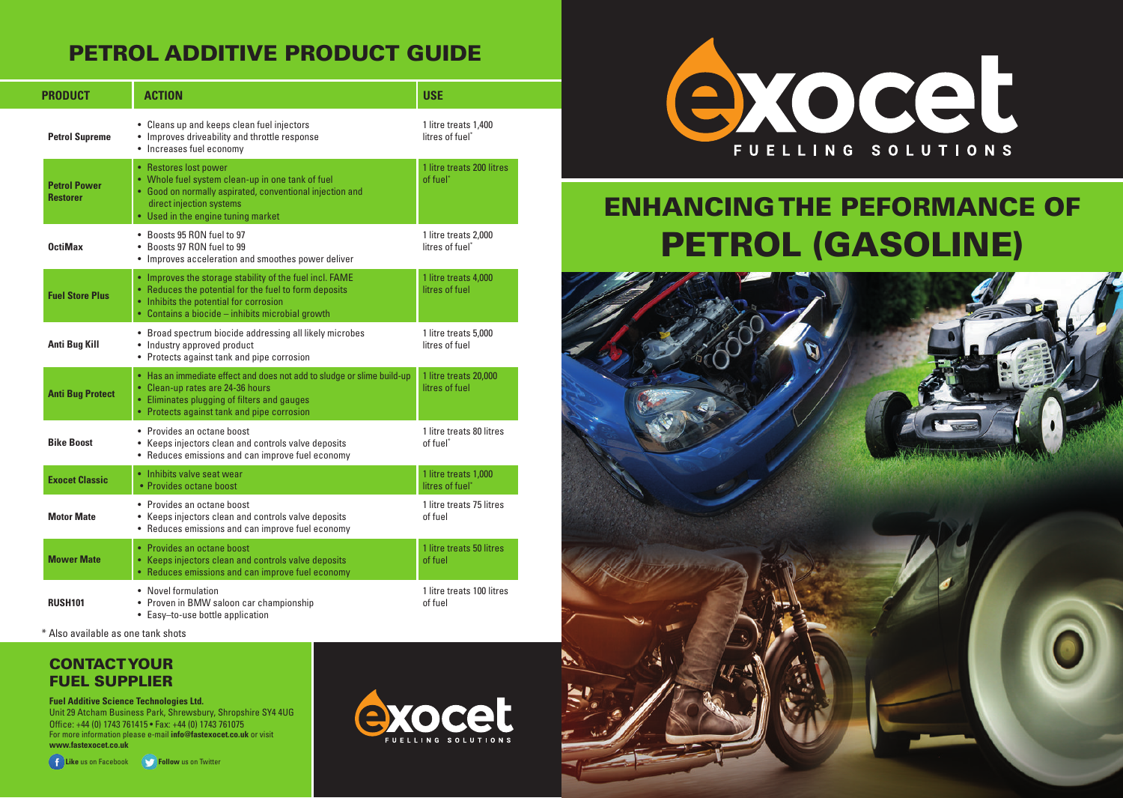#### PETROL ADDITIVE PRODUCT GUIDE

| <b>PRODUCT</b>                         | <b>ACTION</b>                                                                                                                                                                                                  | <b>USE</b>                              |  |  |
|----------------------------------------|----------------------------------------------------------------------------------------------------------------------------------------------------------------------------------------------------------------|-----------------------------------------|--|--|
| <b>Petrol Supreme</b>                  | • Cleans up and keeps clean fuel injectors<br>• Improves driveability and throttle response<br>• Increases fuel economy                                                                                        | 1 litre treats 1,400<br>litres of fuel* |  |  |
| <b>Petrol Power</b><br><b>Restorer</b> | • Restores lost power<br>• Whole fuel system clean-up in one tank of fuel<br>• Good on normally aspirated, conventional injection and<br>direct injection systems<br>• Used in the engine tuning market        | 1 litre treats 200 litres<br>of fuel*   |  |  |
| <b>OctiMax</b>                         | • Boosts 95 RON fuel to 97<br>• Boosts 97 RON fuel to 99<br>• Improves acceleration and smoothes power deliver                                                                                                 | 1 litre treats 2,000<br>litres of fuel* |  |  |
| <b>Fuel Store Plus</b>                 | • Improves the storage stability of the fuel incl. FAME<br>• Reduces the potential for the fuel to form deposits<br>• Inhibits the potential for corrosion<br>• Contains a biocide – inhibits microbial growth | 1 litre treats 4,000<br>litres of fuel  |  |  |
| Anti Bug Kill                          | • Broad spectrum biocide addressing all likely microbes<br>• Industry approved product<br>• Protects against tank and pipe corrosion                                                                           | 1 litre treats 5,000<br>litres of fuel  |  |  |
| <b>Anti Bug Protect</b>                | • Has an immediate effect and does not add to sludge or slime build-up<br>• Clean-up rates are 24-36 hours<br>• Eliminates plugging of filters and gauges<br>• Protects against tank and pipe corrosion        | 1 litre treats 20,000<br>litres of fuel |  |  |
| <b>Bike Boost</b>                      | • Provides an octane boost<br>• Keeps injectors clean and controls valve deposits<br>• Reduces emissions and can improve fuel economy                                                                          | 1 litre treats 80 litres<br>of fuel*    |  |  |
| <b>Exocet Classic</b>                  | • Inhibits valve seat wear<br>• Provides octane boost                                                                                                                                                          | 1 litre treats 1,000<br>litres of fuel* |  |  |
| <b>Motor Mate</b>                      | • Provides an octane boost<br>• Keeps injectors clean and controls valve deposits<br>• Reduces emissions and can improve fuel economy                                                                          | 1 litre treats 75 litres<br>of fuel     |  |  |
| <b>Mower Mate</b>                      | • Provides an octane boost<br>• Keeps injectors clean and controls valve deposits<br>• Reduces emissions and can improve fuel economy                                                                          | 1 litre treats 50 litres<br>of fuel     |  |  |
| <b>RUSH101</b>                         | • Novel formulation<br>• Proven in BMW saloon car championship<br>• Easy-to-use bottle application                                                                                                             | 1 litre treats 100 litres<br>of fuel    |  |  |

exocet FUELLING SOLUTIONS

# ENHANCING THE PEFORMANCE OF PETROL (GASOLINE)



\* Also available as one tank shots

#### **CONTACT YOUR** FUEL SUPPLIER

**Fuel Additive Science Technologies Ltd.**

Unit 29 Atcham Business Park, Shrewsbury, Shropshire SY4 4UG Office: +44 (0) 1743 761415 • Fax: +44 (0) 1743 761075 For more information please e-mail **info@fastexocet.co.uk** or visit **www.fastexocet.co.uk**